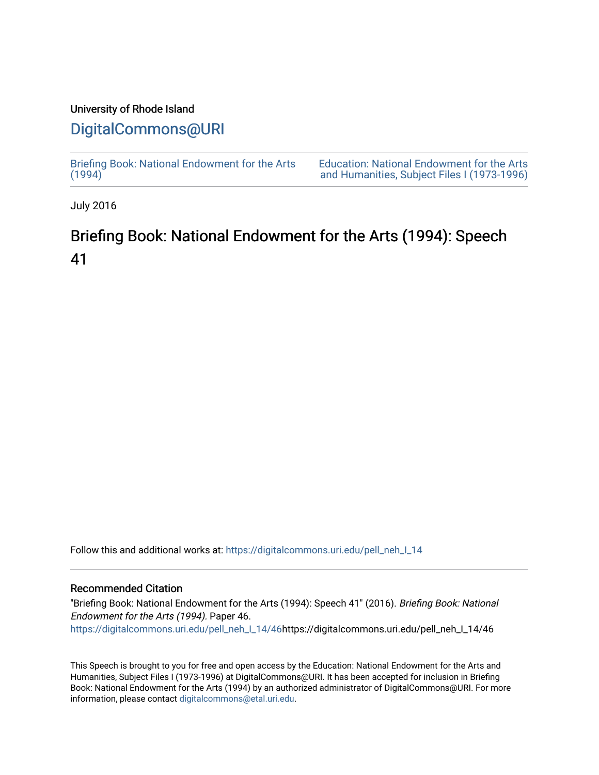## University of Rhode Island

# [DigitalCommons@URI](https://digitalcommons.uri.edu/)

[Briefing Book: National Endowment for the Arts](https://digitalcommons.uri.edu/pell_neh_I_14)  $(1994)$ [Education: National Endowment for the Arts](https://digitalcommons.uri.edu/pell_neh_I)  [and Humanities, Subject Files I \(1973-1996\)](https://digitalcommons.uri.edu/pell_neh_I) 

July 2016

# Briefing Book: National Endowment for the Arts (1994): Speech 41

Follow this and additional works at: [https://digitalcommons.uri.edu/pell\\_neh\\_I\\_14](https://digitalcommons.uri.edu/pell_neh_I_14?utm_source=digitalcommons.uri.edu%2Fpell_neh_I_14%2F46&utm_medium=PDF&utm_campaign=PDFCoverPages) 

#### Recommended Citation

"Briefing Book: National Endowment for the Arts (1994): Speech 41" (2016). Briefing Book: National Endowment for the Arts (1994). Paper 46. [https://digitalcommons.uri.edu/pell\\_neh\\_I\\_14/46h](https://digitalcommons.uri.edu/pell_neh_I_14/46?utm_source=digitalcommons.uri.edu%2Fpell_neh_I_14%2F46&utm_medium=PDF&utm_campaign=PDFCoverPages)ttps://digitalcommons.uri.edu/pell\_neh\_I\_14/46

This Speech is brought to you for free and open access by the Education: National Endowment for the Arts and Humanities, Subject Files I (1973-1996) at DigitalCommons@URI. It has been accepted for inclusion in Briefing Book: National Endowment for the Arts (1994) by an authorized administrator of DigitalCommons@URI. For more information, please contact [digitalcommons@etal.uri.edu.](mailto:digitalcommons@etal.uri.edu)